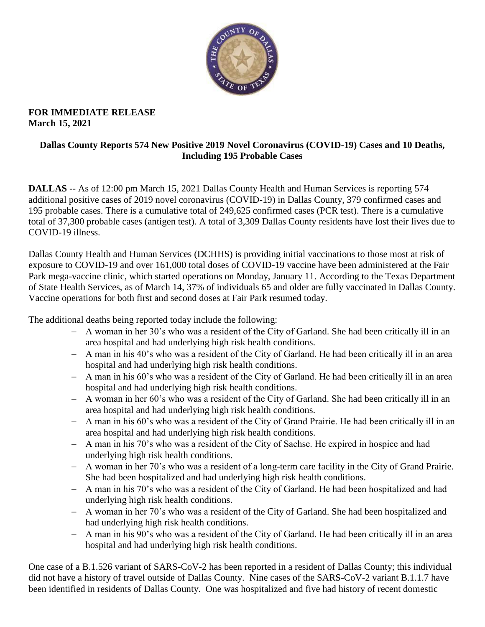

## **FOR IMMEDIATE RELEASE March 15, 2021**

## **Dallas County Reports 574 New Positive 2019 Novel Coronavirus (COVID-19) Cases and 10 Deaths, Including 195 Probable Cases**

**DALLAS** -- As of 12:00 pm March 15, 2021 Dallas County Health and Human Services is reporting 574 additional positive cases of 2019 novel coronavirus (COVID-19) in Dallas County, 379 confirmed cases and 195 probable cases. There is a cumulative total of 249,625 confirmed cases (PCR test). There is a cumulative total of 37,300 probable cases (antigen test). A total of 3,309 Dallas County residents have lost their lives due to COVID-19 illness.

Dallas County Health and Human Services (DCHHS) is providing initial vaccinations to those most at risk of exposure to COVID-19 and over 161,000 total doses of COVID-19 vaccine have been administered at the Fair Park mega-vaccine clinic, which started operations on Monday, January 11. According to the Texas Department of State Health Services, as of March 14, 37% of individuals 65 and older are fully vaccinated in Dallas County. Vaccine operations for both first and second doses at Fair Park resumed today.

The additional deaths being reported today include the following:

- A woman in her 30's who was a resident of the City of Garland. She had been critically ill in an area hospital and had underlying high risk health conditions.
- A man in his 40's who was a resident of the City of Garland. He had been critically ill in an area hospital and had underlying high risk health conditions.
- A man in his 60's who was a resident of the City of Garland. He had been critically ill in an area hospital and had underlying high risk health conditions.
- A woman in her 60's who was a resident of the City of Garland. She had been critically ill in an area hospital and had underlying high risk health conditions.
- A man in his 60's who was a resident of the City of Grand Prairie. He had been critically ill in an area hospital and had underlying high risk health conditions.
- A man in his 70's who was a resident of the City of Sachse. He expired in hospice and had underlying high risk health conditions.
- A woman in her 70's who was a resident of a long-term care facility in the City of Grand Prairie. She had been hospitalized and had underlying high risk health conditions.
- A man in his 70's who was a resident of the City of Garland. He had been hospitalized and had underlying high risk health conditions.
- A woman in her 70's who was a resident of the City of Garland. She had been hospitalized and had underlying high risk health conditions.
- A man in his 90's who was a resident of the City of Garland. He had been critically ill in an area hospital and had underlying high risk health conditions.

One case of a B.1.526 variant of SARS-CoV-2 has been reported in a resident of Dallas County; this individual did not have a history of travel outside of Dallas County. Nine cases of the SARS-CoV-2 variant B.1.1.7 have been identified in residents of Dallas County. One was hospitalized and five had history of recent domestic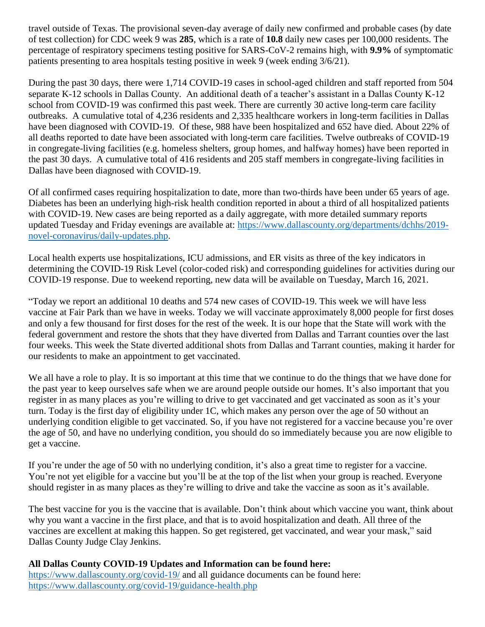travel outside of Texas. The provisional seven-day average of daily new confirmed and probable cases (by date of test collection) for CDC week 9 was **285**, which is a rate of **10.8** daily new cases per 100,000 residents. The percentage of respiratory specimens testing positive for SARS-CoV-2 remains high, with **9.9%** of symptomatic patients presenting to area hospitals testing positive in week 9 (week ending 3/6/21).

During the past 30 days, there were 1,714 COVID-19 cases in school-aged children and staff reported from 504 separate K-12 schools in Dallas County. An additional death of a teacher's assistant in a Dallas County K-12 school from COVID-19 was confirmed this past week. There are currently 30 active long-term care facility outbreaks. A cumulative total of 4,236 residents and 2,335 healthcare workers in long-term facilities in Dallas have been diagnosed with COVID-19. Of these, 988 have been hospitalized and 652 have died. About 22% of all deaths reported to date have been associated with long-term care facilities. Twelve outbreaks of COVID-19 in congregate-living facilities (e.g. homeless shelters, group homes, and halfway homes) have been reported in the past 30 days. A cumulative total of 416 residents and 205 staff members in congregate-living facilities in Dallas have been diagnosed with COVID-19.

Of all confirmed cases requiring hospitalization to date, more than two-thirds have been under 65 years of age. Diabetes has been an underlying high-risk health condition reported in about a third of all hospitalized patients with COVID-19. New cases are being reported as a daily aggregate, with more detailed summary reports updated Tuesday and Friday evenings are available at: [https://www.dallascounty.org/departments/dchhs/2019](https://www.dallascounty.org/departments/dchhs/2019-novel-coronavirus/daily-updates.php) [novel-coronavirus/daily-updates.php.](https://www.dallascounty.org/departments/dchhs/2019-novel-coronavirus/daily-updates.php)

Local health experts use hospitalizations, ICU admissions, and ER visits as three of the key indicators in determining the COVID-19 Risk Level (color-coded risk) and corresponding guidelines for activities during our COVID-19 response. Due to weekend reporting, new data will be available on Tuesday, March 16, 2021.

"Today we report an additional 10 deaths and 574 new cases of COVID-19. This week we will have less vaccine at Fair Park than we have in weeks. Today we will vaccinate approximately 8,000 people for first doses and only a few thousand for first doses for the rest of the week. It is our hope that the State will work with the federal government and restore the shots that they have diverted from Dallas and Tarrant counties over the last four weeks. This week the State diverted additional shots from Dallas and Tarrant counties, making it harder for our residents to make an appointment to get vaccinated.

We all have a role to play. It is so important at this time that we continue to do the things that we have done for the past year to keep ourselves safe when we are around people outside our homes. It's also important that you register in as many places as you're willing to drive to get vaccinated and get vaccinated as soon as it's your turn. Today is the first day of eligibility under 1C, which makes any person over the age of 50 without an underlying condition eligible to get vaccinated. So, if you have not registered for a vaccine because you're over the age of 50, and have no underlying condition, you should do so immediately because you are now eligible to get a vaccine.

If you're under the age of 50 with no underlying condition, it's also a great time to register for a vaccine. You're not yet eligible for a vaccine but you'll be at the top of the list when your group is reached. Everyone should register in as many places as they're willing to drive and take the vaccine as soon as it's available.

The best vaccine for you is the vaccine that is available. Don't think about which vaccine you want, think about why you want a vaccine in the first place, and that is to avoid hospitalization and death. All three of the vaccines are excellent at making this happen. So get registered, get vaccinated, and wear your mask," said Dallas County Judge Clay Jenkins.

## **All Dallas County COVID-19 Updates and Information can be found here:**

<https://www.dallascounty.org/covid-19/> and all guidance documents can be found here: <https://www.dallascounty.org/covid-19/guidance-health.php>